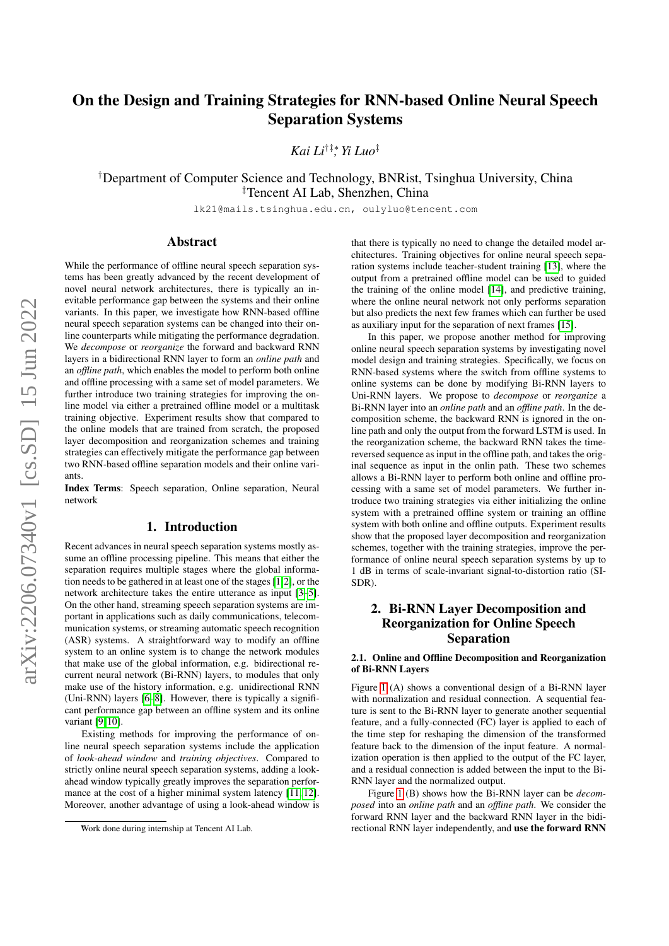# On the Design and Training Strategies for RNN-based Online Neural Speech Separation Systems

*Kai Li*†‡∗*, Yi Luo*‡

†Department of Computer Science and Technology, BNRist, Tsinghua University, China ‡Tencent AI Lab, Shenzhen, China

lk21@mails.tsinghua.edu.cn, oulyluo@tencent.com

## Abstract

While the performance of offline neural speech separation systems has been greatly advanced by the recent development of novel neural network architectures, there is typically an inevitable performance gap between the systems and their online variants. In this paper, we investigate how RNN-based offline neural speech separation systems can be changed into their online counterparts while mitigating the performance degradation. We *decompose* or *reorganize* the forward and backward RNN layers in a bidirectional RNN layer to form an *online path* and an *offline path*, which enables the model to perform both online and offline processing with a same set of model parameters. We further introduce two training strategies for improving the online model via either a pretrained offline model or a multitask training objective. Experiment results show that compared to the online models that are trained from scratch, the proposed layer decomposition and reorganization schemes and training strategies can effectively mitigate the performance gap between two RNN-based offline separation models and their online variants.

Index Terms: Speech separation, Online separation, Neural network

## 1. Introduction

Recent advances in neural speech separation systems mostly assume an offline processing pipeline. This means that either the separation requires multiple stages where the global information needs to be gathered in at least one of the stages [\[1,](#page-4-0)[2\]](#page-4-1), or the network architecture takes the entire utterance as input [\[3–](#page-4-2)[5\]](#page-4-3). On the other hand, streaming speech separation systems are important in applications such as daily communications, telecommunication systems, or streaming automatic speech recognition (ASR) systems. A straightforward way to modify an offline system to an online system is to change the network modules that make use of the global information, e.g. bidirectional recurrent neural network (Bi-RNN) layers, to modules that only make use of the history information, e.g. unidirectional RNN (Uni-RNN) layers [\[6](#page-4-4)[–8\]](#page-4-5). However, there is typically a significant performance gap between an offline system and its online variant [\[9,](#page-4-6) [10\]](#page-4-7).

Existing methods for improving the performance of online neural speech separation systems include the application of *look-ahead window* and *training objectives*. Compared to strictly online neural speech separation systems, adding a lookahead window typically greatly improves the separation performance at the cost of a higher minimal system latency [\[11,](#page-4-8) [12\]](#page-4-9). Moreover, another advantage of using a look-ahead window is

that there is typically no need to change the detailed model architectures. Training objectives for online neural speech separation systems include teacher-student training [\[13\]](#page-4-10), where the output from a pretrained offline model can be used to guided the training of the online model [\[14\]](#page-4-11), and predictive training, where the online neural network not only performs separation but also predicts the next few frames which can further be used as auxiliary input for the separation of next frames [\[15\]](#page-4-12).

In this paper, we propose another method for improving online neural speech separation systems by investigating novel model design and training strategies. Specifically, we focus on RNN-based systems where the switch from offline systems to online systems can be done by modifying Bi-RNN layers to Uni-RNN layers. We propose to *decompose* or *reorganize* a Bi-RNN layer into an *online path* and an *offline path*. In the decomposition scheme, the backward RNN is ignored in the online path and only the output from the forward LSTM is used. In the reorganization scheme, the backward RNN takes the timereversed sequence as input in the offline path, and takes the original sequence as input in the onlin path. These two schemes allows a Bi-RNN layer to perform both online and offline processing with a same set of model parameters. We further introduce two training strategies via either initializing the online system with a pretrained offline system or training an offline system with both online and offline outputs. Experiment results show that the proposed layer decomposition and reorganization schemes, together with the training strategies, improve the performance of online neural speech separation systems by up to 1 dB in terms of scale-invariant signal-to-distortion ratio (SI-SDR).

## 2. Bi-RNN Layer Decomposition and Reorganization for Online Speech Separation

### 2.1. Online and Offline Decomposition and Reorganization of Bi-RNN Layers

Figure [1](#page-1-0) (A) shows a conventional design of a Bi-RNN layer with normalization and residual connection. A sequential feature is sent to the Bi-RNN layer to generate another sequential feature, and a fully-connected (FC) layer is applied to each of the time step for reshaping the dimension of the transformed feature back to the dimension of the input feature. A normalization operation is then applied to the output of the FC layer, and a residual connection is added between the input to the Bi-RNN layer and the normalized output.

Figure [1](#page-1-0) (B) shows how the Bi-RNN layer can be *decomposed* into an *online path* and an *offline path*. We consider the forward RNN layer and the backward RNN layer in the bidirectional RNN layer independently, and use the forward RNN

<sup>∗</sup>Work done during internship at Tencent AI Lab.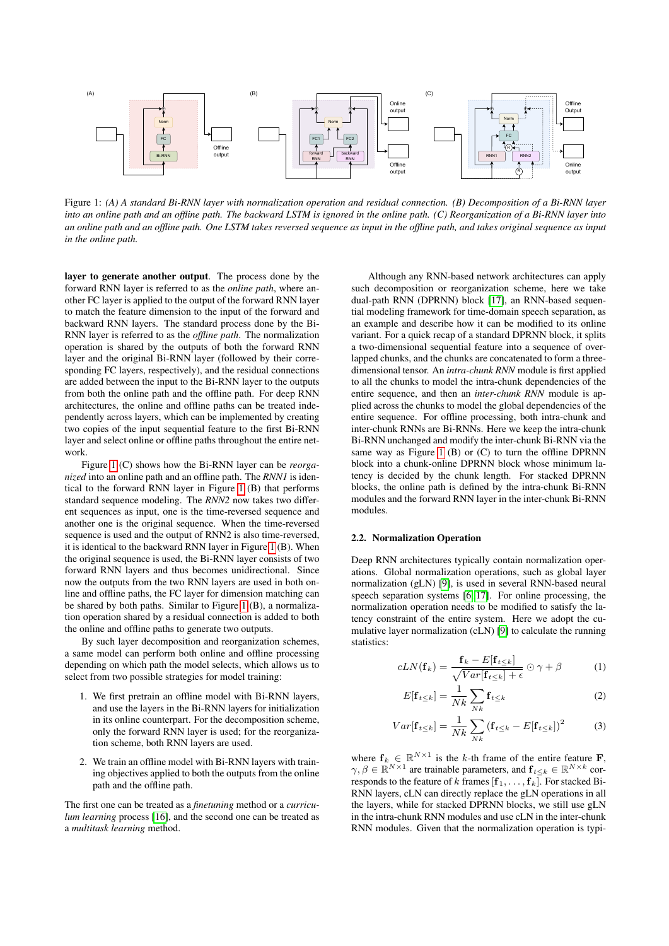<span id="page-1-0"></span>

Figure 1: *(A) A standard Bi-RNN layer with normalization operation and residual connection. (B) Decomposition of a Bi-RNN layer into an online path and an offline path. The backward LSTM is ignored in the online path. (C) Reorganization of a Bi-RNN layer into an online path and an offline path. One LSTM takes reversed sequence as input in the offline path, and takes original sequence as input in the online path.*

layer to generate another output. The process done by the forward RNN layer is referred to as the *online path*, where another FC layer is applied to the output of the forward RNN layer to match the feature dimension to the input of the forward and backward RNN layers. The standard process done by the Bi-RNN layer is referred to as the *offline path*. The normalization operation is shared by the outputs of both the forward RNN layer and the original Bi-RNN layer (followed by their corresponding FC layers, respectively), and the residual connections are added between the input to the Bi-RNN layer to the outputs from both the online path and the offline path. For deep RNN architectures, the online and offline paths can be treated independently across layers, which can be implemented by creating two copies of the input sequential feature to the first Bi-RNN layer and select online or offline paths throughout the entire network.

Figure [1](#page-1-0) (C) shows how the Bi-RNN layer can be *reorganized* into an online path and an offline path. The *RNN1* is identical to the forward RNN layer in Figure [1](#page-1-0) (B) that performs standard sequence modeling. The *RNN2* now takes two different sequences as input, one is the time-reversed sequence and another one is the original sequence. When the time-reversed sequence is used and the output of RNN2 is also time-reversed, it is identical to the backward RNN layer in Figure [1](#page-1-0) (B). When the original sequence is used, the Bi-RNN layer consists of two forward RNN layers and thus becomes unidirectional. Since now the outputs from the two RNN layers are used in both online and offline paths, the FC layer for dimension matching can be shared by both paths. Similar to Figure [1](#page-1-0) (B), a normalization operation shared by a residual connection is added to both the online and offline paths to generate two outputs.

By such layer decomposition and reorganization schemes, a same model can perform both online and offline processing depending on which path the model selects, which allows us to select from two possible strategies for model training:

- 1. We first pretrain an offline model with Bi-RNN layers, and use the layers in the Bi-RNN layers for initialization in its online counterpart. For the decomposition scheme, only the forward RNN layer is used; for the reorganization scheme, both RNN layers are used.
- 2. We train an offline model with Bi-RNN layers with training objectives applied to both the outputs from the online path and the offline path.

The first one can be treated as a *finetuning* method or a *curriculum learning* process [\[16\]](#page-4-13), and the second one can be treated as a *multitask learning* method.

Although any RNN-based network architectures can apply such decomposition or reorganization scheme, here we take dual-path RNN (DPRNN) block [\[17\]](#page-4-14), an RNN-based sequential modeling framework for time-domain speech separation, as an example and describe how it can be modified to its online variant. For a quick recap of a standard DPRNN block, it splits a two-dimensional sequential feature into a sequence of overlapped chunks, and the chunks are concatenated to form a threedimensional tensor. An *intra-chunk RNN* module is first applied to all the chunks to model the intra-chunk dependencies of the entire sequence, and then an *inter-chunk RNN* module is applied across the chunks to model the global dependencies of the entire sequence. For offline processing, both intra-chunk and inter-chunk RNNs are Bi-RNNs. Here we keep the intra-chunk Bi-RNN unchanged and modify the inter-chunk Bi-RNN via the same way as Figure [1](#page-1-0)  $(B)$  or  $(C)$  to turn the offline DPRNN block into a chunk-online DPRNN block whose minimum latency is decided by the chunk length. For stacked DPRNN blocks, the online path is defined by the intra-chunk Bi-RNN modules and the forward RNN layer in the inter-chunk Bi-RNN modules.

#### 2.2. Normalization Operation

Deep RNN architectures typically contain normalization operations. Global normalization operations, such as global layer normalization (gLN) [\[9\]](#page-4-6), is used in several RNN-based neural speech separation systems [\[6,](#page-4-4) [17\]](#page-4-14). For online processing, the normalization operation needs to be modified to satisfy the latency constraint of the entire system. Here we adopt the cumulative layer normalization (cLN) [\[9\]](#page-4-6) to calculate the running statistics:

$$
cLN(\mathbf{f}_k) = \frac{\mathbf{f}_k - E[\mathbf{f}_{t \le k}]}{\sqrt{Var[\mathbf{f}_{t \le k}] + \epsilon}} \odot \gamma + \beta \tag{1}
$$

$$
E[\mathbf{f}_{t\leq k}] = \frac{1}{Nk} \sum_{Nk} \mathbf{f}_{t\leq k} \tag{2}
$$

$$
Var[\mathbf{f}_{t\leq k}] = \frac{1}{Nk} \sum_{Nk} (\mathbf{f}_{t\leq k} - E[\mathbf{f}_{t\leq k}])^2
$$
 (3)

where  $f_k \in \mathbb{R}^{N \times 1}$  is the k-th frame of the entire feature **F**,  $\gamma, \beta \in \mathbb{R}^{N \times 1}$  are trainable parameters, and  $\mathbf{f}_{t \leq k} \in \mathbb{R}^{N \times k}$  corresponds to the feature of k frames  $[f_1, \ldots, f_k]$ . For stacked Bi-RNN layers, cLN can directly replace the gLN operations in all the layers, while for stacked DPRNN blocks, we still use gLN in the intra-chunk RNN modules and use cLN in the inter-chunk RNN modules. Given that the normalization operation is typi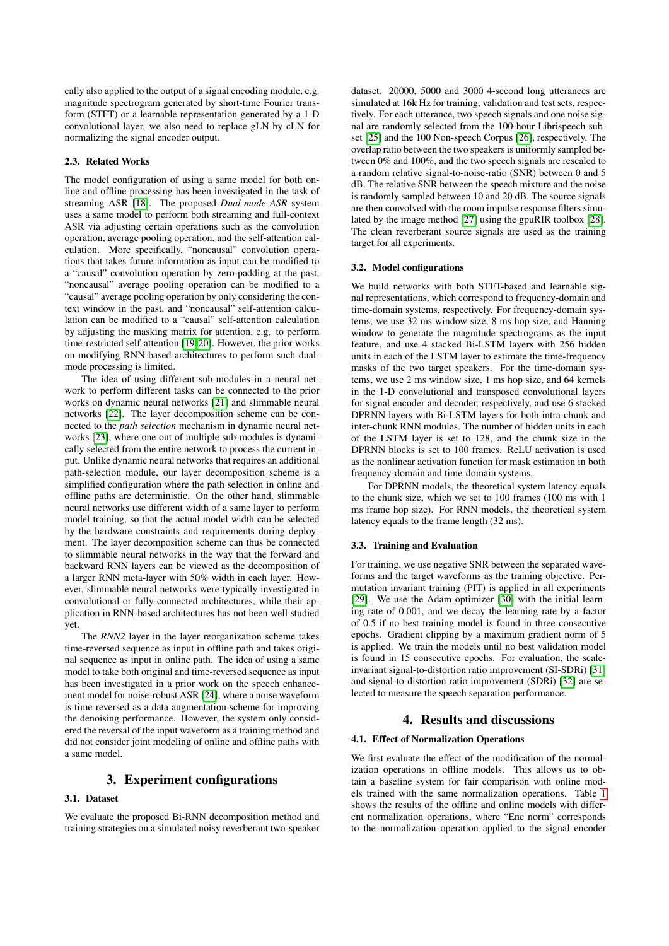cally also applied to the output of a signal encoding module, e.g. magnitude spectrogram generated by short-time Fourier transform (STFT) or a learnable representation generated by a 1-D convolutional layer, we also need to replace gLN by cLN for normalizing the signal encoder output.

#### 2.3. Related Works

The model configuration of using a same model for both online and offline processing has been investigated in the task of streaming ASR [\[18\]](#page-4-15). The proposed *Dual-mode ASR* system uses a same model to perform both streaming and full-context ASR via adjusting certain operations such as the convolution operation, average pooling operation, and the self-attention calculation. More specifically, "noncausal" convolution operations that takes future information as input can be modified to a "causal" convolution operation by zero-padding at the past, "noncausal" average pooling operation can be modified to a "causal" average pooling operation by only considering the context window in the past, and "noncausal" self-attention calculation can be modified to a "causal" self-attention calculation by adjusting the masking matrix for attention, e.g. to perform time-restricted self-attention [\[19,](#page-4-16) [20\]](#page-4-17). However, the prior works on modifying RNN-based architectures to perform such dualmode processing is limited.

The idea of using different sub-modules in a neural network to perform different tasks can be connected to the prior works on dynamic neural networks [\[21\]](#page-4-18) and slimmable neural networks [\[22\]](#page-4-19). The layer decomposition scheme can be connected to the *path selection* mechanism in dynamic neural networks [\[23\]](#page-4-20), where one out of multiple sub-modules is dynamically selected from the entire network to process the current input. Unlike dynamic neural networks that requires an additional path-selection module, our layer decomposition scheme is a simplified configuration where the path selection in online and offline paths are deterministic. On the other hand, slimmable neural networks use different width of a same layer to perform model training, so that the actual model width can be selected by the hardware constraints and requirements during deployment. The layer decomposition scheme can thus be connected to slimmable neural networks in the way that the forward and backward RNN layers can be viewed as the decomposition of a larger RNN meta-layer with 50% width in each layer. However, slimmable neural networks were typically investigated in convolutional or fully-connected architectures, while their application in RNN-based architectures has not been well studied yet.

The *RNN2* layer in the layer reorganization scheme takes time-reversed sequence as input in offline path and takes original sequence as input in online path. The idea of using a same model to take both original and time-reversed sequence as input has been investigated in a prior work on the speech enhancement model for noise-robust ASR [\[24\]](#page-4-21), where a noise waveform is time-reversed as a data augmentation scheme for improving the denoising performance. However, the system only considered the reversal of the input waveform as a training method and did not consider joint modeling of online and offline paths with a same model.

## 3. Experiment configurations

#### 3.1. Dataset

We evaluate the proposed Bi-RNN decomposition method and training strategies on a simulated noisy reverberant two-speaker dataset. 20000, 5000 and 3000 4-second long utterances are simulated at 16k Hz for training, validation and test sets, respectively. For each utterance, two speech signals and one noise signal are randomly selected from the 100-hour Librispeech subset [\[25\]](#page-4-22) and the 100 Non-speech Corpus [\[26\]](#page-4-23), respectively. The overlap ratio between the two speakers is uniformly sampled between 0% and 100%, and the two speech signals are rescaled to a random relative signal-to-noise-ratio (SNR) between 0 and 5 dB. The relative SNR between the speech mixture and the noise is randomly sampled between 10 and 20 dB. The source signals are then convolved with the room impulse response filters simulated by the image method [\[27\]](#page-4-24) using the gpuRIR toolbox [\[28\]](#page-4-25). The clean reverberant source signals are used as the training target for all experiments.

#### 3.2. Model configurations

We build networks with both STFT-based and learnable signal representations, which correspond to frequency-domain and time-domain systems, respectively. For frequency-domain systems, we use 32 ms window size, 8 ms hop size, and Hanning window to generate the magnitude spectrograms as the input feature, and use 4 stacked Bi-LSTM layers with 256 hidden units in each of the LSTM layer to estimate the time-frequency masks of the two target speakers. For the time-domain systems, we use 2 ms window size, 1 ms hop size, and 64 kernels in the 1-D convolutional and transposed convolutional layers for signal encoder and decoder, respectively, and use 6 stacked DPRNN layers with Bi-LSTM layers for both intra-chunk and inter-chunk RNN modules. The number of hidden units in each of the LSTM layer is set to 128, and the chunk size in the DPRNN blocks is set to 100 frames. ReLU activation is used as the nonlinear activation function for mask estimation in both frequency-domain and time-domain systems.

For DPRNN models, the theoretical system latency equals to the chunk size, which we set to 100 frames (100 ms with 1 ms frame hop size). For RNN models, the theoretical system latency equals to the frame length (32 ms).

#### 3.3. Training and Evaluation

For training, we use negative SNR between the separated waveforms and the target waveforms as the training objective. Permutation invariant training (PIT) is applied in all experiments [\[29\]](#page-4-26). We use the Adam optimizer [\[30\]](#page-4-27) with the initial learning rate of 0.001, and we decay the learning rate by a factor of 0.5 if no best training model is found in three consecutive epochs. Gradient clipping by a maximum gradient norm of 5 is applied. We train the models until no best validation model is found in 15 consecutive epochs. For evaluation, the scaleinvariant signal-to-distortion ratio improvement (SI-SDRi) [\[31\]](#page-4-28) and signal-to-distortion ratio improvement (SDRi) [\[32\]](#page-4-29) are selected to measure the speech separation performance.

## 4. Results and discussions

#### 4.1. Effect of Normalization Operations

We first evaluate the effect of the modification of the normalization operations in offline models. This allows us to obtain a baseline system for fair comparison with online models trained with the same normalization operations. Table [1](#page-3-0) shows the results of the offline and online models with different normalization operations, where "Enc norm" corresponds to the normalization operation applied to the signal encoder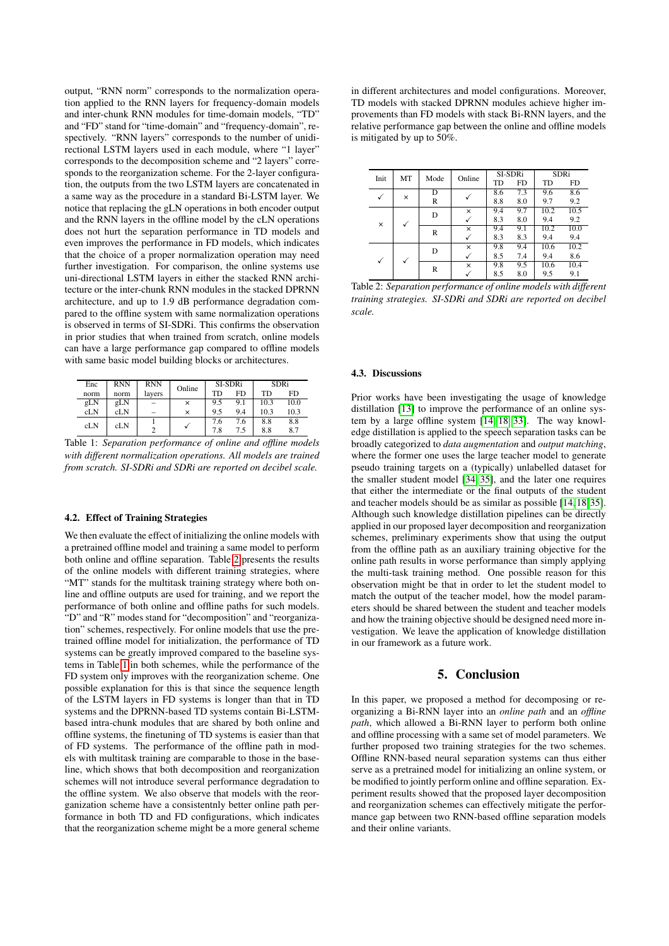output, "RNN norm" corresponds to the normalization operation applied to the RNN layers for frequency-domain models and inter-chunk RNN modules for time-domain models, "TD" and "FD" stand for "time-domain" and "frequency-domain", respectively. "RNN layers" corresponds to the number of unidirectional LSTM layers used in each module, where "1 layer" corresponds to the decomposition scheme and "2 layers" corresponds to the reorganization scheme. For the 2-layer configuration, the outputs from the two LSTM layers are concatenated in a same way as the procedure in a standard Bi-LSTM layer. We notice that replacing the gLN operations in both encoder output and the RNN layers in the offline model by the cLN operations does not hurt the separation performance in TD models and even improves the performance in FD models, which indicates that the choice of a proper normalization operation may need further investigation. For comparison, the online systems use uni-directional LSTM layers in either the stacked RNN architecture or the inter-chunk RNN modules in the stacked DPRNN architecture, and up to 1.9 dB performance degradation compared to the offline system with same normalization operations is observed in terms of SI-SDRi. This confirms the observation in prior studies that when trained from scratch, online models can have a large performance gap compared to offline models with same basic model building blocks or architectures.

<span id="page-3-0"></span>

| Enc  | <b>RNN</b> | <b>RNN</b> |        | SI-SDRi |     | SDRi |      |
|------|------------|------------|--------|---------|-----|------|------|
| norm | norm       | layers     | Online | TD      | FD. | TD   | FD.  |
| gLN  | gLN        |            | ×      | 9.5     | 9.1 | 10.3 | 10.0 |
| cLN  | cLN        |            | ×      | 9.5     | 9.4 | 10.3 | 10.3 |
| cLN  | cLN        |            |        | 7.6     | 7.6 | 8.8  | 8.8  |
|      |            |            |        | 7.8     | 7.5 | 8.8  | 8.7  |

Table 1: *Separation performance of online and offline models with different normalization operations. All models are trained from scratch. SI-SDRi and SDRi are reported on decibel scale.*

#### 4.2. Effect of Training Strategies

We then evaluate the effect of initializing the online models with a pretrained offline model and training a same model to perform both online and offline separation. Table [2](#page-3-1) presents the results of the online models with different training strategies, where "MT" stands for the multitask training strategy where both online and offline outputs are used for training, and we report the performance of both online and offline paths for such models. "D" and "R" modes stand for "decomposition" and "reorganization" schemes, respectively. For online models that use the pretrained offline model for initialization, the performance of TD systems can be greatly improved compared to the baseline systems in Table [1](#page-3-0) in both schemes, while the performance of the FD system only improves with the reorganization scheme. One possible explanation for this is that since the sequence length of the LSTM layers in FD systems is longer than that in TD systems and the DPRNN-based TD systems contain Bi-LSTMbased intra-chunk modules that are shared by both online and offline systems, the finetuning of TD systems is easier than that of FD systems. The performance of the offline path in models with multitask training are comparable to those in the baseline, which shows that both decomposition and reorganization schemes will not introduce several performance degradation to the offline system. We also observe that models with the reorganization scheme have a consistentnly better online path performance in both TD and FD configurations, which indicates that the reorganization scheme might be a more general scheme in different architectures and model configurations. Moreover, TD models with stacked DPRNN modules achieve higher improvements than FD models with stack Bi-RNN layers, and the relative performance gap between the online and offline models is mitigated by up to 50%.

<span id="page-3-1"></span>

| Init         | MT | Mode | Online | SI-SDRi |           | <b>SDRi</b> |           |
|--------------|----|------|--------|---------|-----------|-------------|-----------|
|              |    |      |        | TD      | <b>FD</b> | TD          | <b>FD</b> |
|              | ×  | D    |        | 8.6     | 7.3       | 9.6         | 8.6       |
|              |    | R    |        | 8.8     | 8.0       | 9.7         | 9.2       |
| $\times$     |    | D    | ×      | 9.4     | 9.7       | 10.2        | 10.5      |
|              |    |      |        | 8.3     | 8.0       | 9.4         | 9.2       |
|              |    | R    | ×      | 9.4     | 9.1       | 10.2        | 10.0      |
|              |    |      |        | 8.3     | 8.3       | 9.4         | 9.4       |
| $\checkmark$ |    | D    | ×      | 9.8     | 9.4       | 10.6        | 10.2      |
|              |    |      |        | 8.5     | 7.4       | 9.4         | 8.6       |
|              |    | R    | ×      | 9.8     | 9.5       | 10.6        | 10.4      |
|              |    |      |        | 8.5     | 8.0       | 9.5         | 9.1       |

Table 2: *Separation performance of online models with different training strategies. SI-SDRi and SDRi are reported on decibel scale.*

#### 4.3. Discussions

Prior works have been investigating the usage of knowledge distillation [\[13\]](#page-4-10) to improve the performance of an online system by a large offline system [\[14,](#page-4-11) [18,](#page-4-15) [33\]](#page-4-30). The way knowledge distillation is applied to the speech separation tasks can be broadly categorized to *data augmentation* and *output matching*, where the former one uses the large teacher model to generate pseudo training targets on a (typically) unlabelled dataset for the smaller student model [\[34,](#page-4-31) [35\]](#page-4-32), and the later one requires that either the intermediate or the final outputs of the student and teacher models should be as similar as possible [\[14,](#page-4-11) [18,](#page-4-15) [35\]](#page-4-32). Although such knowledge distillation pipelines can be directly applied in our proposed layer decomposition and reorganization schemes, preliminary experiments show that using the output from the offline path as an auxiliary training objective for the online path results in worse performance than simply applying the multi-task training method. One possible reason for this observation might be that in order to let the student model to match the output of the teacher model, how the model parameters should be shared between the student and teacher models and how the training objective should be designed need more investigation. We leave the application of knowledge distillation in our framework as a future work.

## 5. Conclusion

In this paper, we proposed a method for decomposing or reorganizing a Bi-RNN layer into an *online path* and an *offline path*, which allowed a Bi-RNN layer to perform both online and offline processing with a same set of model parameters. We further proposed two training strategies for the two schemes. Offline RNN-based neural separation systems can thus either serve as a pretrained model for initializing an online system, or be modified to jointly perform online and offline separation. Experiment results showed that the proposed layer decomposition and reorganization schemes can effectively mitigate the performance gap between two RNN-based offline separation models and their online variants.